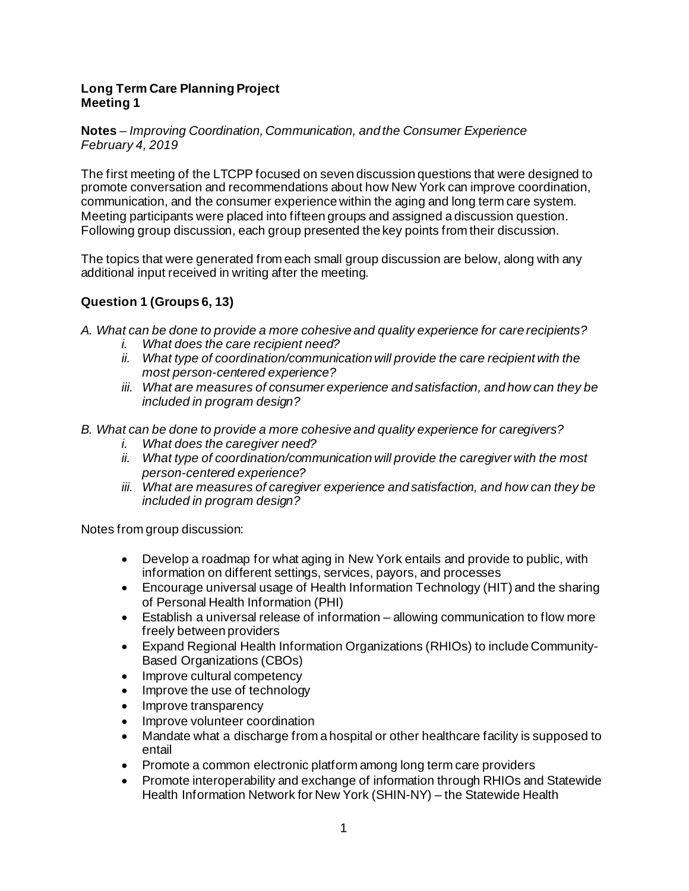#### **Long Term Care Planning Project Meeting 1**

#### **Notes** *– Improving Coordination, Communication, and the Consumer Experience February 4, 2019*

The first meeting of the LTCPP focused on seven discussion questions that were designed to promote conversation and recommendations about how New York can improve coordination, communication, and the consumer experience within the aging and long term care system. Meeting participants were placed into fifteen groups and assigned a discussion question. Following group discussion, each group presented the key points from their discussion.

The topics that were generated from each small group discussion are below, along with any additional input received in writing after the meeting.

# **Question 1 (Groups 6, 13)**

- *A. What can be done to provide a more cohesive and quality experience for care recipients?* 
	- *i. What does the care recipient need?*
	- *ii. What type of coordination/communication will provide the care recipient with the most person-centered experience?*
	- *iii. What are measures of consumer experience and satisfaction, and how can they be included in program design?*
- *B. What can be done to provide a more cohesive and quality experience for caregivers?* 
	- *i. What does the caregiver need?*
	- *ii. What type of coordination/communication will provide the caregiver with the most person-centered experience?*
	- *iii. What are measures of caregiver experience and satisfaction, and how can they be included in program design?*

- Develop a roadmap for what aging in New York entails and provide to public, with information on different settings, services, payors, and processes
- Encourage universal usage of Health Information Technology (HIT) and the sharing of Personal Health Information (PHI)
- Establish a universal release of information allowing communication to flow more freely between providers
- Expand Regional Health Information Organizations (RHIOs) to include Community-Based Organizations (CBOs)
- Improve cultural competency
- Improve the use of technology
- Improve transparency
- Improve volunteer coordination
- Mandate what a discharge from a hospital or other healthcare facility is supposed to entail
- Promote a common electronic platform among long term care providers
- Promote interoperability and exchange of information through RHIOs and Statewide Health Information Network for New York (SHIN-NY) – the Statewide Health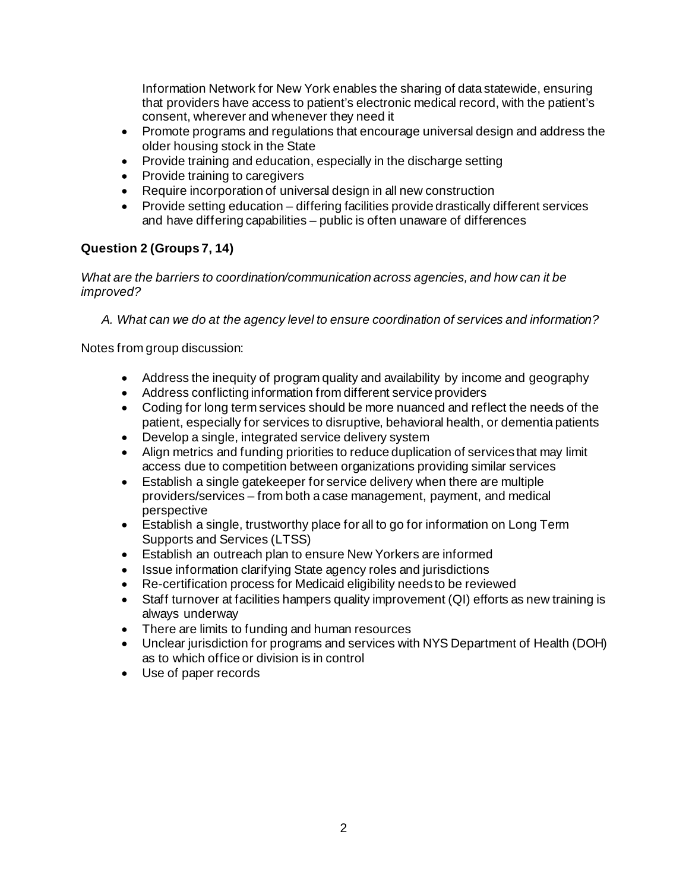Information Network for New York enables the sharing of data statewide, ensuring that providers have access to patient's electronic medical record, with the patient's consent, wherever and whenever they need it

- Promote programs and regulations that encourage universal design and address the older housing stock in the State
- Provide training and education, especially in the discharge setting
- Provide training to caregivers
- Require incorporation of universal design in all new construction
- Provide setting education differing facilities provide drastically different services and have differing capabilities – public is often unaware of differences

# **Question 2 (Groups 7, 14)**

*What are the barriers to coordination/communication across agencies, and how can it be improved?* 

*A. What can we do at the agency level to ensure coordination of services and information?*

- Address the inequity of program quality and availability by income and geography
- Address conflicting information from different service providers
- Coding for long term services should be more nuanced and reflect the needs of the patient, especially for services to disruptive, behavioral health, or dementia patients
- Develop a single, integrated service delivery system
- Align metrics and funding priorities to reduce duplication of services that may limit access due to competition between organizations providing similar services
- Establish a single gatekeeper for service delivery when there are multiple providers/services – from both a case management, payment, and medical perspective
- Establish a single, trustworthy place for all to go for information on Long Term Supports and Services (LTSS)
- Establish an outreach plan to ensure New Yorkers are informed
- Issue information clarifying State agency roles and jurisdictions
- Re-certification process for Medicaid eligibility needs to be reviewed
- Staff turnover at facilities hampers quality improvement (QI) efforts as new training is always underway
- There are limits to funding and human resources
- Unclear jurisdiction for programs and services with NYS Department of Health (DOH) as to which office or division is in control
- Use of paper records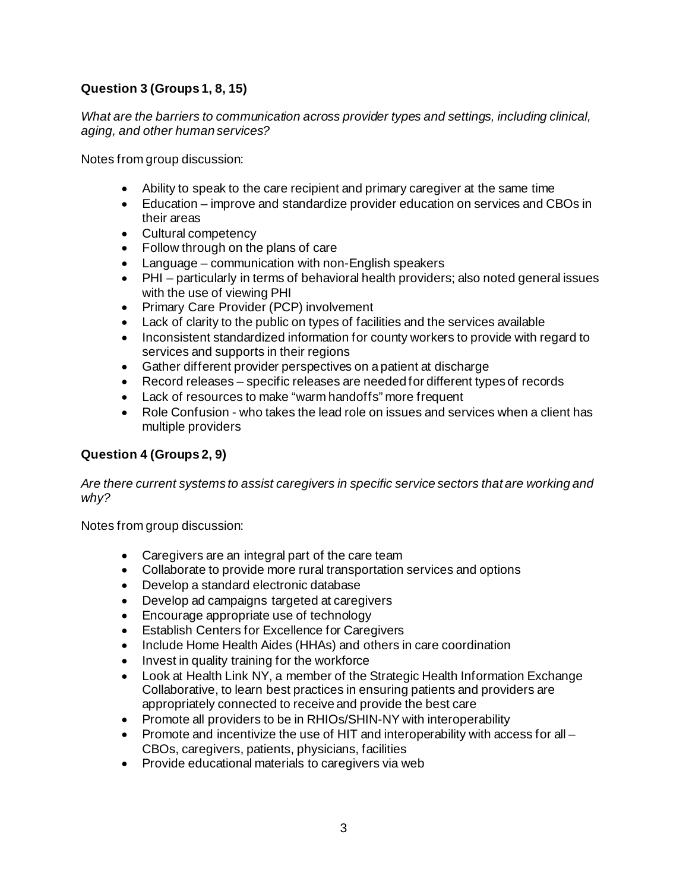# **Question 3 (Groups 1, 8, 15)**

*What are the barriers to communication across provider types and settings, including clinical, aging, and other human services?* 

Notes from group discussion:

- Ability to speak to the care recipient and primary caregiver at the same time
- Education improve and standardize provider education on services and CBOs in their areas
- Cultural competency
- Follow through on the plans of care
- Language communication with non-English speakers
- PHI particularly in terms of behavioral health providers; also noted general issues with the use of viewing PHI
- Primary Care Provider (PCP) involvement
- Lack of clarity to the public on types of facilities and the services available
- Inconsistent standardized information for county workers to provide with regard to services and supports in their regions
- Gather different provider perspectives on a patient at discharge
- Record releases specific releases are needed for different types of records
- Lack of resources to make "warm handoffs" more frequent
- Role Confusion who takes the lead role on issues and services when a client has multiple providers

### **Question 4 (Groups 2, 9)**

*Are there current systems to assist caregivers in specific service sectors that are working and why?* 

- Caregivers are an integral part of the care team
- Collaborate to provide more rural transportation services and options
- Develop a standard electronic database
- Develop ad campaigns targeted at caregivers
- Encourage appropriate use of technology
- Establish Centers for Excellence for Caregivers
- Include Home Health Aides (HHAs) and others in care coordination
- Invest in quality training for the workforce
- Look at Health Link NY, a member of the Strategic Health Information Exchange Collaborative, to learn best practices in ensuring patients and providers are appropriately connected to receive and provide the best care
- Promote all providers to be in RHIOs/SHIN-NY with interoperability
- Promote and incentivize the use of HIT and interoperability with access for all CBOs, caregivers, patients, physicians, facilities
- Provide educational materials to caregivers via web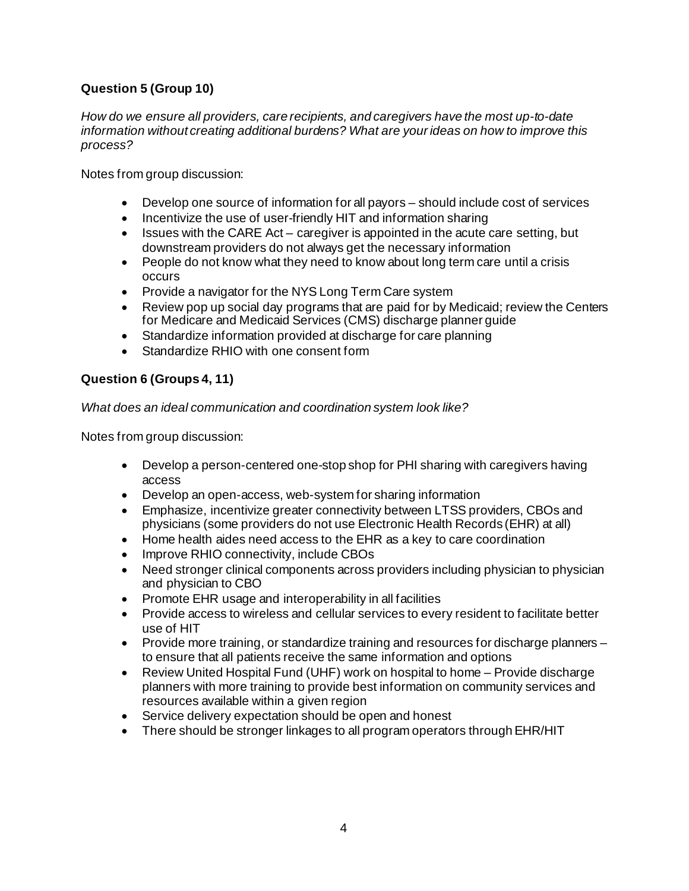## **Question 5 (Group 10)**

*How do we ensure all providers, care recipients, and caregivers have the most up-to-date information without creating additional burdens? What are your ideas on how to improve this process?*

Notes from group discussion:

- Develop one source of information for all payors should include cost of services
- Incentivize the use of user-friendly HIT and information sharing
- Issues with the CARE Act caregiver is appointed in the acute care setting, but downstream providers do not always get the necessary information
- People do not know what they need to know about long term care until a crisis occurs
- Provide a navigator for the NYS Long Term Care system
- Review pop up social day programs that are paid for by Medicaid; review the Centers for Medicare and Medicaid Services (CMS) discharge planner guide
- Standardize information provided at discharge for care planning
- Standardize RHIO with one consent form

### **Question 6 (Groups 4, 11)**

*What does an ideal communication and coordination system look like?*

- Develop a person-centered one-stop shop for PHI sharing with caregivers having access
- Develop an open-access, web-system for sharing information
- Emphasize, incentivize greater connectivity between LTSS providers, CBOs and physicians (some providers do not use Electronic Health Records (EHR) at all)
- Home health aides need access to the EHR as a key to care coordination
- Improve RHIO connectivity, include CBOs
- Need stronger clinical components across providers including physician to physician and physician to CBO
- Promote EHR usage and interoperability in all facilities
- Provide access to wireless and cellular services to every resident to facilitate better use of HIT
- Provide more training, or standardize training and resources for discharge planners to ensure that all patients receive the same information and options
- Review United Hospital Fund (UHF) work on hospital to home Provide discharge planners with more training to provide best information on community services and resources available within a given region
- Service delivery expectation should be open and honest
- There should be stronger linkages to all program operators through EHR/HIT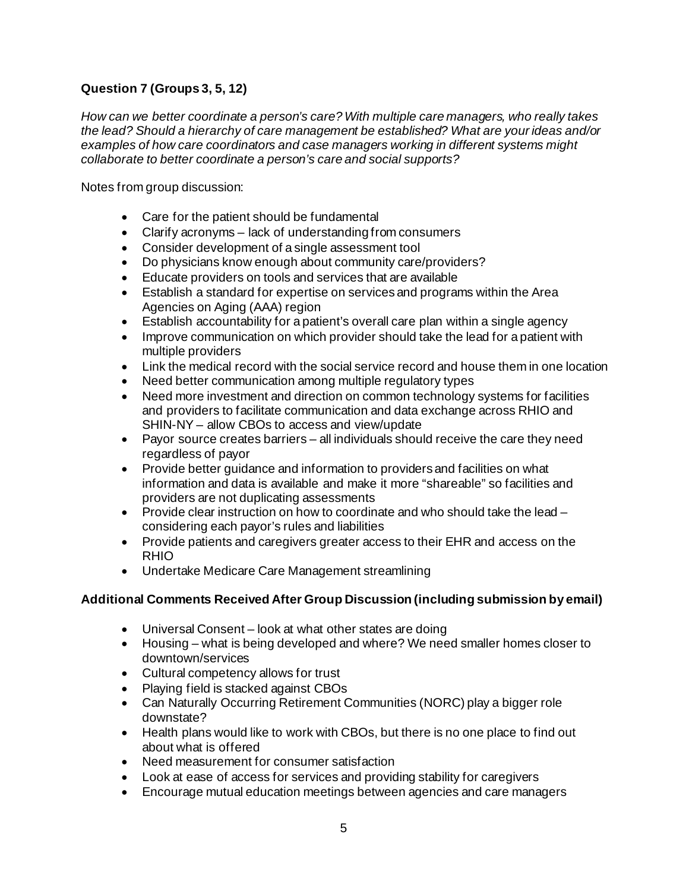## **Question 7 (Groups 3, 5, 12)**

*How can we better coordinate a person's care? With multiple care managers, who really takes the lead? Should a hierarchy of care management be established? What are your ideas and/or examples of how care coordinators and case managers working in different systems might collaborate to better coordinate a person's care and social supports?*

Notes from group discussion:

- Care for the patient should be fundamental
- Clarify acronyms lack of understanding from consumers
- Consider development of a single assessment tool
- Do physicians know enough about community care/providers?
- Educate providers on tools and services that are available
- Establish a standard for expertise on services and programs within the Area Agencies on Aging (AAA) region
- Establish accountability for a patient's overall care plan within a single agency
- Improve communication on which provider should take the lead for a patient with multiple providers
- Link the medical record with the social service record and house them in one location
- Need better communication among multiple regulatory types
- Need more investment and direction on common technology systems for facilities and providers to facilitate communication and data exchange across RHIO and SHIN-NY – allow CBOs to access and view/update
- Payor source creates barriers all individuals should receive the care they need regardless of payor
- Provide better guidance and information to providers and facilities on what information and data is available and make it more "shareable" so facilities and providers are not duplicating assessments
- Provide clear instruction on how to coordinate and who should take the lead considering each payor's rules and liabilities
- Provide patients and caregivers greater access to their EHR and access on the RHIO
- Undertake Medicare Care Management streamlining

#### **Additional Comments Received After Group Discussion (including submission by email)**

- Universal Consent look at what other states are doing
- Housing what is being developed and where? We need smaller homes closer to downtown/services
- Cultural competency allows for trust
- Playing field is stacked against CBOs
- Can Naturally Occurring Retirement Communities (NORC) play a bigger role downstate?
- Health plans would like to work with CBOs, but there is no one place to find out about what is offered
- Need measurement for consumer satisfaction
- Look at ease of access for services and providing stability for caregivers
- Encourage mutual education meetings between agencies and care managers